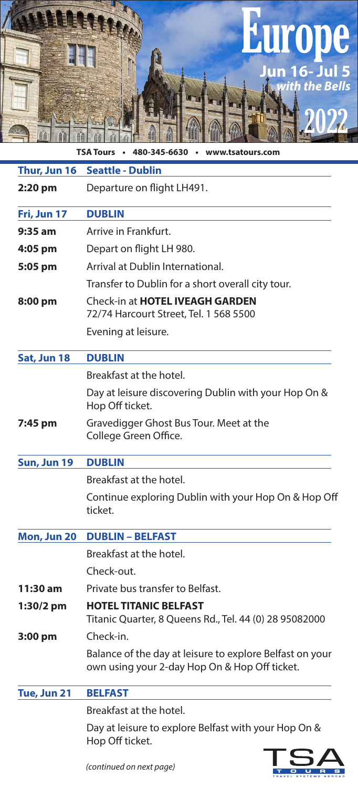

|              | TSA Tours • 480-345-6630 • www.tsatours.com                                                               |
|--------------|-----------------------------------------------------------------------------------------------------------|
| Thur, Jun 16 | <b>Seattle - Dublin</b>                                                                                   |
| 2:20 pm      | Departure on flight LH491.                                                                                |
| Fri, Jun 17  | <b>DUBLIN</b>                                                                                             |
| $9:35$ am    | Arrive in Frankfurt.                                                                                      |
| 4:05 pm      | Depart on flight LH 980.                                                                                  |
| 5:05 pm      | Arrival at Dublin International.                                                                          |
|              | Transfer to Dublin for a short overall city tour.                                                         |
| 8:00 pm      | Check-in at <b>HOTEL IVEAGH GARDEN</b><br>72/74 Harcourt Street, Tel. 1 568 5500                          |
|              | Evening at leisure.                                                                                       |
| Sat, Jun 18  | <b>DUBLIN</b>                                                                                             |
|              | Breakfast at the hotel.                                                                                   |
|              | Day at leisure discovering Dublin with your Hop On &<br>Hop Off ticket.                                   |
| 7:45 pm      | Gravedigger Ghost Bus Tour. Meet at the<br>College Green Office.                                          |
| Sun, Jun 19  | <b>DUBLIN</b>                                                                                             |
|              | Breakfast at the hotel.                                                                                   |
|              | Continue exploring Dublin with your Hop On & Hop Off<br>ticket.                                           |
| Mon, Jun 20  | <b>DUBLIN - BELFAST</b>                                                                                   |
|              | Breakfast at the hotel.                                                                                   |
|              | Check-out.                                                                                                |
| 11:30 am     | Private bus transfer to Belfast.                                                                          |
| $1:30/2$ pm  | <b>HOTEL TITANIC BELFAST</b><br>Titanic Quarter, 8 Queens Rd., Tel. 44 (0) 28 95082000                    |
| 3:00 pm      | Check-in.                                                                                                 |
|              | Balance of the day at leisure to explore Belfast on your<br>own using your 2-day Hop On & Hop Off ticket. |
| Tue, Jun 21  | <b>BELFAST</b>                                                                                            |
|              | Breakfast at the hotel.                                                                                   |
|              | Day at leisure to explore Belfast with your Hop On &<br>Hop Off ticket.                                   |
|              |                                                                                                           |

*(continued on next page)*

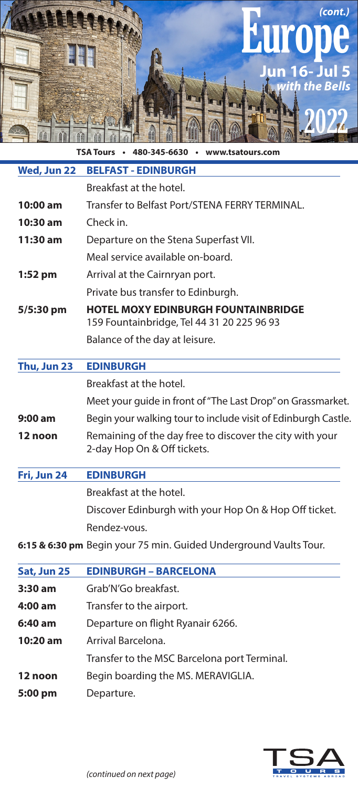

| TSA Tours · 480-345-6630 · www.tsatours.com |                                                                                          |  |
|---------------------------------------------|------------------------------------------------------------------------------------------|--|
| Wed, Jun 22                                 | <b>BELFAST - EDINBURGH</b>                                                               |  |
|                                             | Breakfast at the hotel.                                                                  |  |
| $10:00$ am                                  | Transfer to Belfast Port/STENA FERRY TERMINAL.                                           |  |
| $10:30$ am                                  | Check in.                                                                                |  |
| $11:30$ am                                  | Departure on the Stena Superfast VII.                                                    |  |
|                                             | Meal service available on-board.                                                         |  |
| $1:52$ pm                                   | Arrival at the Cairnryan port.                                                           |  |
|                                             | Private bus transfer to Edinburgh.                                                       |  |
| 5/5:30 pm                                   | <b>HOTEL MOXY EDINBURGH FOUNTAINBRIDGE</b><br>159 Fountainbridge, Tel 44 31 20 225 96 93 |  |
|                                             | Balance of the day at leisure.                                                           |  |
| Thu, Jun 23                                 | <b>EDINBURGH</b>                                                                         |  |
|                                             | Breakfast at the hotel.                                                                  |  |
|                                             | Meet your guide in front of "The Last Drop" on Grassmarket.                              |  |
| 9:00 am                                     | Begin your walking tour to include visit of Edinburgh Castle.                            |  |
| 12 noon                                     | Remaining of the day free to discover the city with your<br>2-day Hop On & Off tickets.  |  |
| Fri, Jun 24                                 | <b>EDINBURGH</b>                                                                         |  |
|                                             | Breakfast at the hotel.                                                                  |  |
|                                             | Discover Edinburgh with your Hop On & Hop Off ticket.                                    |  |
|                                             | Rendez-vous.                                                                             |  |
|                                             | 6:15 & 6:30 pm Begin your 75 min. Guided Underground Vaults Tour.                        |  |

| Sat, Jun 25 | <b>EDINBURGH - BARCELONA</b>                 |
|-------------|----------------------------------------------|
| $3:30$ am   | Grab'N'Go breakfast.                         |
| 4:00 am     | Transfer to the airport.                     |
| $6:40$ am   | Departure on flight Ryanair 6266.            |
| $10:20$ am  | Arrival Barcelona.                           |
|             | Transfer to the MSC Barcelona port Terminal. |
| 12 noon     | Begin boarding the MS. MERAVIGLIA.           |
| 5:00 pm     | Departure.                                   |

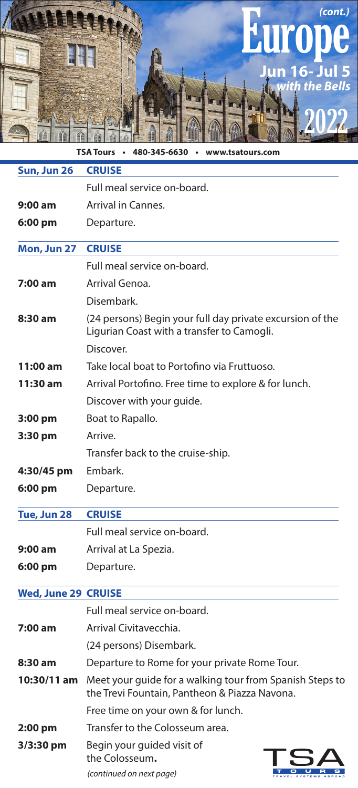

| TSA Tours • 480-345-6630 • www.tsatours.com |                                                                                                           |  |
|---------------------------------------------|-----------------------------------------------------------------------------------------------------------|--|
| Sun, Jun 26                                 | <b>CRUISE</b>                                                                                             |  |
|                                             | Full meal service on-board.                                                                               |  |
| 9:00 am                                     | Arrival in Cannes.                                                                                        |  |
| 6:00 pm                                     | Departure.                                                                                                |  |
| Mon, Jun 27                                 | <b>CRUISE</b>                                                                                             |  |
|                                             | Full meal service on-board.                                                                               |  |
| $7:00$ am                                   | Arrival Genoa.                                                                                            |  |
|                                             | Disembark.                                                                                                |  |
| 8:30 am                                     | (24 persons) Begin your full day private excursion of the<br>Ligurian Coast with a transfer to Camogli.   |  |
|                                             | Discover.                                                                                                 |  |
| 11:00 am                                    | Take local boat to Portofino via Fruttuoso.                                                               |  |
| $11:30$ am                                  | Arrival Portofino. Free time to explore & for lunch.                                                      |  |
|                                             | Discover with your guide.                                                                                 |  |
| $3:00$ pm                                   | Boat to Rapallo.                                                                                          |  |
| 3:30 pm                                     | Arrive.                                                                                                   |  |
|                                             | Transfer back to the cruise-ship.                                                                         |  |
| 4:30/45 pm                                  | Embark.                                                                                                   |  |
| 6:00 pm                                     | Departure.                                                                                                |  |
| Tue, Jun 28                                 | <b>CRUISE</b>                                                                                             |  |
|                                             | Full meal service on-board.                                                                               |  |
| 9:00 am                                     | Arrival at La Spezia.                                                                                     |  |
| 6:00 pm                                     | Departure.                                                                                                |  |
| <b>Wed, June 29 CRUISE</b>                  |                                                                                                           |  |
|                                             | Full meal service on-board.                                                                               |  |
| 7:00 am                                     | Arrival Civitavecchia.                                                                                    |  |
|                                             | (24 persons) Disembark.                                                                                   |  |
| 8:30 am                                     | Departure to Rome for your private Rome Tour.                                                             |  |
| 10:30/11 am                                 | Meet your guide for a walking tour from Spanish Steps to<br>the Trevi Fountain, Pantheon & Piazza Navona. |  |
|                                             | Free time on your own & for lunch.                                                                        |  |
| $2:00$ pm                                   | Transfer to the Colosseum area.                                                                           |  |
| 3/3:30 pm                                   | Begin your guided visit of<br>the Colosseum.<br>(continued on next page)                                  |  |

*(continued on next page)*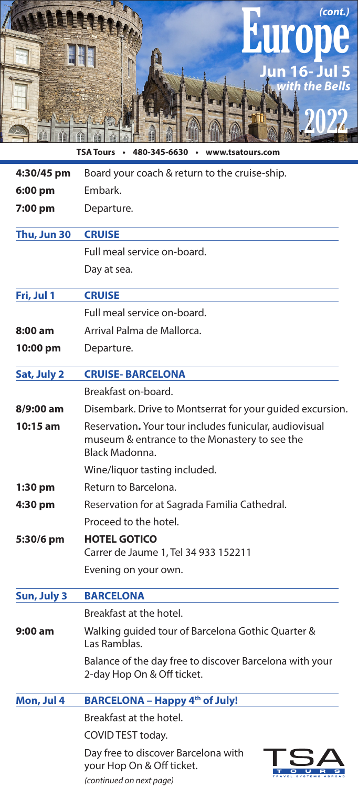

|             | TSA Tours · 480-345-6630 · www.tsatours.com                                                                               |
|-------------|---------------------------------------------------------------------------------------------------------------------------|
| 4:30/45 pm  | Board your coach & return to the cruise-ship.                                                                             |
| 6:00 pm     | Embark.                                                                                                                   |
| 7:00 pm     | Departure.                                                                                                                |
| Thu, Jun 30 | <b>CRUISE</b>                                                                                                             |
|             | Full meal service on-board.                                                                                               |
|             | Day at sea.                                                                                                               |
| Fri, Jul 1  | <b>CRUISE</b>                                                                                                             |
|             | Full meal service on-board.                                                                                               |
| $8:00$ am   | Arrival Palma de Mallorca.                                                                                                |
| 10:00 pm    | Departure.                                                                                                                |
| Sat, July 2 | <b>CRUISE-BARCELONA</b>                                                                                                   |
|             | Breakfast on-board.                                                                                                       |
| $8/9:00$ am | Disembark. Drive to Montserrat for your guided excursion.                                                                 |
| $10:15$ am  | Reservation. Your tour includes funicular, audiovisual<br>museum & entrance to the Monastery to see the<br>Black Madonna. |
|             | Wine/liquor tasting included.                                                                                             |
| $1:30$ pm   | Return to Barcelona.                                                                                                      |
| 4:30 pm     | Reservation for at Sagrada Familia Cathedral.                                                                             |
|             | Proceed to the hotel.                                                                                                     |
| 5:30/6 pm   | <b>HOTEL GOTICO</b><br>Carrer de Jaume 1, Tel 34 933 152211                                                               |
|             | Evening on your own.                                                                                                      |
| Sun, July 3 | <b>BARCELONA</b>                                                                                                          |
|             | Breakfast at the hotel.                                                                                                   |
| $9:00$ am   | Walking guided tour of Barcelona Gothic Quarter &<br>Las Ramblas.                                                         |
|             | Balance of the day free to discover Barcelona with your<br>2-day Hop On & Off ticket.                                     |
| Mon, Jul 4  | <b>BARCELONA - Happy 4th of July!</b>                                                                                     |
|             | Breakfast at the hotel.                                                                                                   |
|             | COVID TEST today.                                                                                                         |
|             | Day free to discover Barcelona with<br>your Hop On & Off ticket.                                                          |

*(continued on next page)*